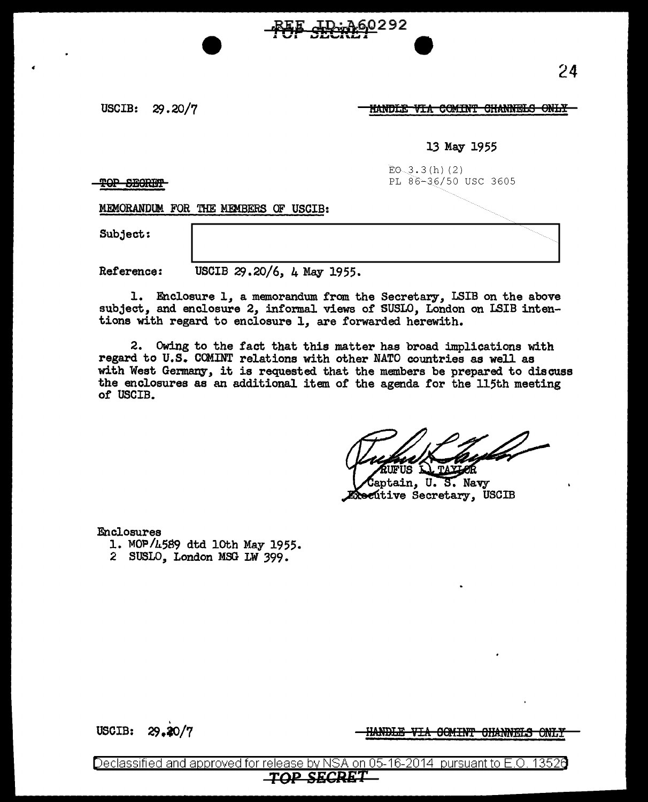USCIB: 29.20/7

<u>HANDLE VIA COMINT CHANNELS ONLY</u>

60292

## 13 May 1955

 $EO_{3.3(h)(2)}$ **TOP SECRET** 

MEMORANDUM FOR THE MEMBERS OF USCIB:

Subject:

Reference: USCIB 29.20/6, 4 May 1955.

1. Enclosure 1, a memorandum from the Secretary, LSIB on the above subject, and enclosure 2, informal views of SUSLO, London on LSIB intentions with regard to enclosure 1, are forwarded herewith.

2. Owing to the fact that this matter has broad implications with regard to U.S. COMINT relations with other NATO countries as well as with West Germany, it is requested that the members be prepared to discuss the enclosures as an additional item of the agenda for the 115th meeting of USCIB.

**FUS AL TAYLOR** 

aptain, U.S. Navy **Rec**utive Secretary, USCIB

Enclosures

- 1. MOP/4589 dtd 10th May 1955.
- 2 SUSLO, London MSG LW 399.

USCIB: 29.20/7

<u>HANDLE VIA OCMINT OHANNELS ONLY</u>

Declassified and approved for release by NSA on 05-16-2014 pursuant to E.O. 1352e **TOP SECRET**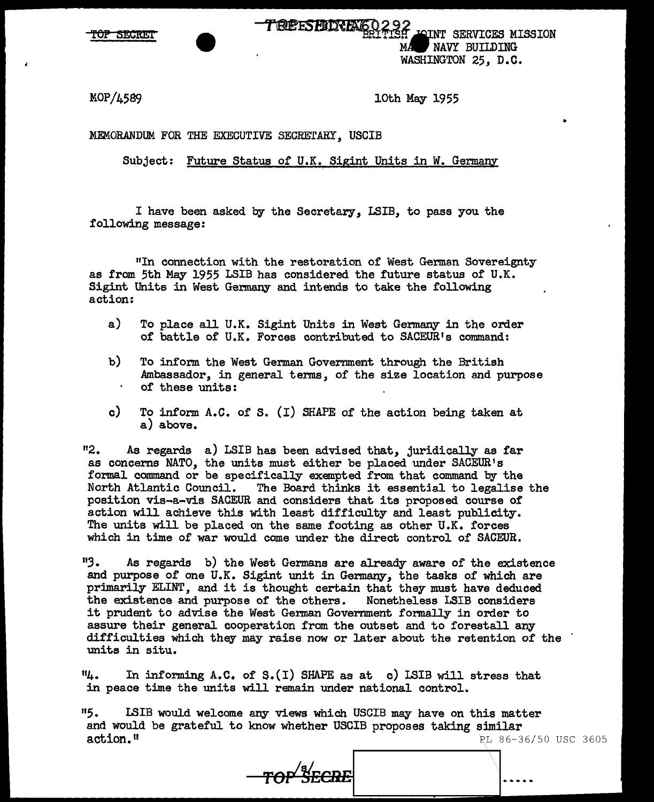**SECRE** 

TREESFJLRJENGO 292<br>Taliying Jahre Services Mission NAVY BUILDING

WASHINGTON 25, D.C.

MOP/4589 loth May 1955

MEMORANDUM FOR THE EXECUTIVE SECRETARY. USCIB

Subject: Future Status of U.K. Sigint Units in W. Germany

I have been asked by the Secretary, LSIB, to pass you the following message:

"In connection with the restoration of West German Sovereignty as from 5th May 1955 LSIB has considered the future status of U.K. Sigint Units in West Germany and intends to take the following action:

- a) To place all U.K. Sigint Units in West Germany in the order of battle of U.K. Forces contributed to SACEUR's command:
- b) To inform. the West German Government through the British Ambassador, in general terms, of the size location and purpose of these units:
- c) To inform A.C. of S. (I) SHAPE of the action being taken at a) above.

<sup>11</sup>2. As regards a) LSIB has been advised that, juridically as far as concerns NATO, the units must either be placed under SACEUR's formal command or be specifically exempted from that command by the North Atlantic Council. The Board thinks it essential to legalise the position vis-a-vis SACEUR and considers that its proposed course of action will achieve this with least difficulty and least publicity. The units will be placed on the same footing as other U.K. forces which in time of war would come under the direct control of SACEUR.

113. As regards b) the West Germans are already aware of the existence and purpose of one U.K. Sigint unit in Germany, the tasks of which are primarily ELINT, and it is thought certain that they must have deduced the existence and purpose of the others. Nonetheless LSIB considers it prudent to advise the West German Government formally in order to assure their general cooperation from the outset and to forestall any difficulties which they may raise now or later about the retention of the units in situ.

 $"4.$  In informing A.C. of S. $(I)$  SHAPE as at c) LSIB will stress that in peace time the units will remain under national control.

<sup>11</sup>5. LSIB would welcome any views which USCIB may have on this matter and would be grateful to know whether USCIB proposes taking similar action." PL 86-36/50 USC 3605